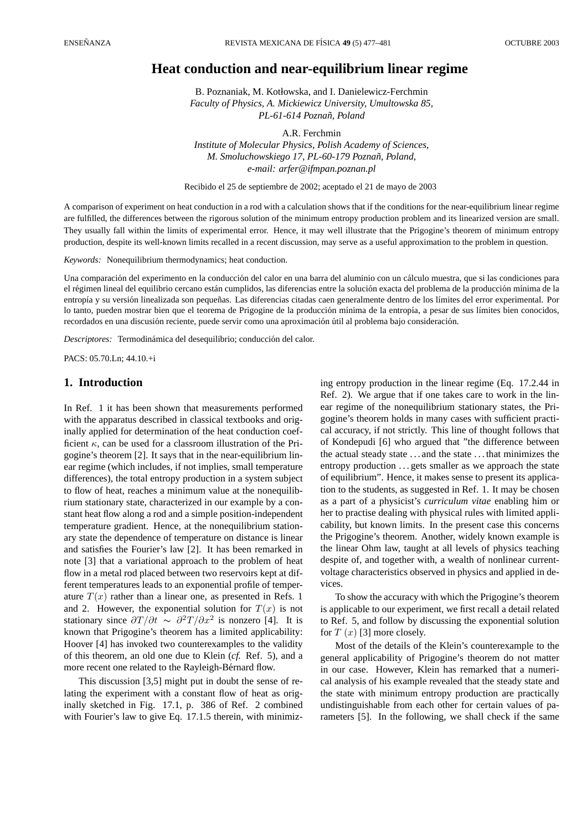# **Heat conduction and near-equilibrium linear regime**

B. Poznaniak, M. Kotłowska, and I. Danielewicz-Ferchmin *Faculty of Physics, A. Mickiewicz University, Umultowska 85, PL-61-614 Poznan, Poland ˜*

A.R. Ferchmin *Institute of Molecular Physics, Polish Academy of Sciences, M. Smoluchowskiego 17, PL-60-179 Poznan, Poland, ˜ e-mail: arfer@ifmpan.poznan.pl*

Recibido el 25 de septiembre de 2002; aceptado el 21 de mayo de 2003

A comparison of experiment on heat conduction in a rod with a calculation shows that if the conditions for the near-equilibrium linear regime are fulfilled, the differences between the rigorous solution of the minimum entropy production problem and its linearized version are small. They usually fall within the limits of experimental error. Hence, it may well illustrate that the Prigogine's theorem of minimum entropy production, despite its well-known limits recalled in a recent discussion, may serve as a useful approximation to the problem in question.

*Keywords:* Nonequilibrium thermodynamics; heat conduction.

Una comparación del experimento en la conducción del calor en una barra del aluminio con un cálculo muestra, que si las condiciones para el régimen lineal del equilibrio cercano están cumplidos, las diferencias entre la solución exacta del problema de la producción mínima de la entropía y su versión linealizada son pequeñas. Las diferencias citadas caen generalmente dentro de los límites del error experimental. Por lo tanto, pueden mostrar bien que el teorema de Prigogine de la producción mínima de la entropía, a pesar de sus límites bien conocidos, recordados en una discusión reciente, puede servir como una aproximación útil al problema bajo consideración.

*Descriptores:* Termodinámica del desequilibrio; conducción del calor.

PACS: 05.70.Ln; 44.10.+i

## **1. Introduction**

In Ref. 1 it has been shown that measurements performed with the apparatus described in classical textbooks and originally applied for determination of the heat conduction coefficient  $\kappa$ , can be used for a classroom illustration of the Prigogine's theorem [2]. It says that in the near-equilibrium linear regime (which includes, if not implies, small temperature differences), the total entropy production in a system subject to flow of heat, reaches a minimum value at the nonequilibrium stationary state, characterized in our example by a constant heat flow along a rod and a simple position-independent temperature gradient. Hence, at the nonequilibrium stationary state the dependence of temperature on distance is linear and satisfies the Fourier's law [2]. It has been remarked in note [3] that a variational approach to the problem of heat flow in a metal rod placed between two reservoirs kept at different temperatures leads to an exponential profile of temperature  $T(x)$  rather than a linear one, as presented in Refs. 1 and 2. However, the exponential solution for  $T(x)$  is not stationary since  $\frac{\partial T}{\partial t} \sim \frac{\partial^2 T}{\partial x^2}$  is nonzero [4]. It is known that Prigogine's theorem has a limited applicability: Hoover [4] has invoked two counterexamples to the validity of this theorem, an old one due to Klein (*cf.* Ref. 5), and a more recent one related to the Rayleigh-Bérnard flow.

This discussion [3,5] might put in doubt the sense of relating the experiment with a constant flow of heat as originally sketched in Fig. 17.1, p. 386 of Ref. 2 combined with Fourier's law to give Eq. 17.1.5 therein, with minimizing entropy production in the linear regime (Eq. 17.2.44 in Ref. 2). We argue that if one takes care to work in the linear regime of the nonequilibrium stationary states, the Prigogine's theorem holds in many cases with sufficient practical accuracy, if not strictly. This line of thought follows that of Kondepudi [6] who argued that "the difference between the actual steady state . . . and the state . . . that minimizes the entropy production ...gets smaller as we approach the state of equilibrium". Hence, it makes sense to present its application to the students, as suggested in Ref. 1. It may be chosen as a part of a physicist's *curriculum vitae* enabling him or her to practise dealing with physical rules with limited applicability, but known limits. In the present case this concerns the Prigogine's theorem. Another, widely known example is the linear Ohm law, taught at all levels of physics teaching despite of, and together with, a wealth of nonlinear currentvoltage characteristics observed in physics and applied in devices.

To show the accuracy with which the Prigogine's theorem is applicable to our experiment, we first recall a detail related to Ref. 5, and follow by discussing the exponential solution for  $T(x)$  [3] more closely.

Most of the details of the Klein's counterexample to the general applicability of Prigogine's theorem do not matter in our case. However, Klein has remarked that a numerical analysis of his example revealed that the steady state and the state with minimum entropy production are practically undistinguishable from each other for certain values of parameters [5]. In the following, we shall check if the same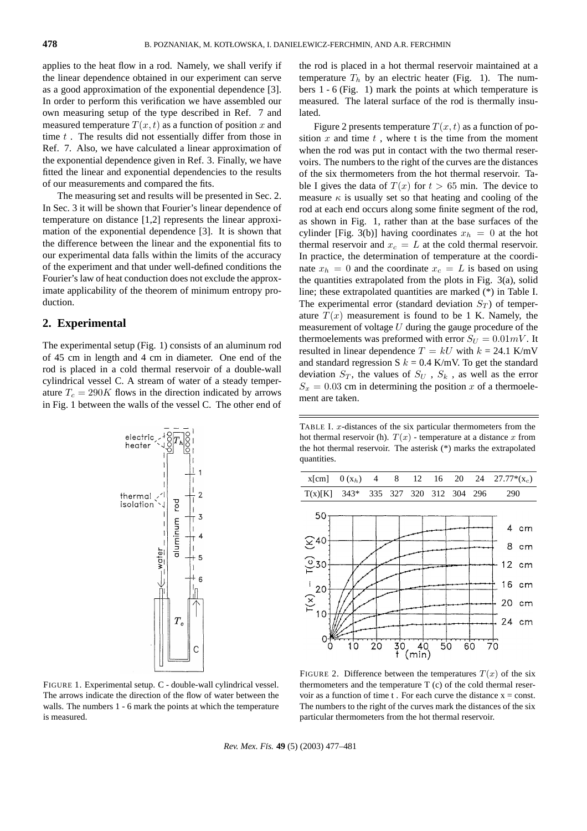applies to the heat flow in a rod. Namely, we shall verify if the linear dependence obtained in our experiment can serve as a good approximation of the exponential dependence [3]. In order to perform this verification we have assembled our own measuring setup of the type described in Ref. 7 and measured temperature  $T(x, t)$  as a function of position x and time  $t$ . The results did not essentially differ from those in Ref. 7. Also, we have calculated a linear approximation of the exponential dependence given in Ref. 3. Finally, we have fitted the linear and exponential dependencies to the results of our measurements and compared the fits.

The measuring set and results will be presented in Sec. 2. In Sec. 3 it will be shown that Fourier's linear dependence of temperature on distance [1,2] represents the linear approximation of the exponential dependence [3]. It is shown that the difference between the linear and the exponential fits to our experimental data falls within the limits of the accuracy of the experiment and that under well-defined conditions the Fourier's law of heat conduction does not exclude the approximate applicability of the theorem of minimum entropy production.

#### **2. Experimental**

The experimental setup (Fig. 1) consists of an aluminum rod of 45 cm in length and 4 cm in diameter. One end of the rod is placed in a cold thermal reservoir of a double-wall cylindrical vessel C. A stream of water of a steady temperature  $T_c = 290K$  flows in the direction indicated by arrows in Fig. 1 between the walls of the vessel C. The other end of



FIGURE 1. Experimental setup. C - double-wall cylindrical vessel. The arrows indicate the direction of the flow of water between the walls. The numbers 1 - 6 mark the points at which the temperature is measured.

the rod is placed in a hot thermal reservoir maintained at a temperature  $T_h$  by an electric heater (Fig. 1). The numbers 1 - 6 (Fig. 1) mark the points at which temperature is measured. The lateral surface of the rod is thermally insulated.

Figure 2 presents temperature  $T(x, t)$  as a function of position  $x$  and time  $t$ , where t is the time from the moment when the rod was put in contact with the two thermal reservoirs. The numbers to the right of the curves are the distances of the six thermometers from the hot thermal reservoir. Table I gives the data of  $T(x)$  for  $t > 65$  min. The device to measure  $\kappa$  is usually set so that heating and cooling of the rod at each end occurs along some finite segment of the rod, as shown in Fig. 1, rather than at the base surfaces of the cylinder [Fig. 3(b)] having coordinates  $x_h = 0$  at the hot thermal reservoir and  $x_c = L$  at the cold thermal reservoir. In practice, the determination of temperature at the coordinate  $x_h = 0$  and the coordinate  $x_c = L$  is based on using the quantities extrapolated from the plots in Fig. 3(a), solid line; these extrapolated quantities are marked (\*) in Table I. The experimental error (standard deviation  $S_T$ ) of temperature  $T(x)$  measurement is found to be 1 K. Namely, the measurement of voltage  $U$  during the gauge procedure of the thermoelements was preformed with error  $S_U = 0.01 mV$ . It resulted in linear dependence  $T = kU$  with  $k = 24.1$  K/mV and standard regression S  $k = 0.4$  K/mV. To get the standard deviation  $S_T$ , the values of  $S_U$ ,  $S_k$ , as well as the error  $S_x = 0.03$  cm in determining the position x of a thermoelement are taken.

TABLE I.  $x$ -distances of the six particular thermometers from the hot thermal reservoir (h).  $T(x)$  - temperature at a distance x from the hot thermal reservoir. The asterisk (\*) marks the extrapolated quantities.



FIGURE 2. Difference between the temperatures  $T(x)$  of the six thermometers and the temperature T (c) of the cold thermal reservoir as a function of time t. For each curve the distance  $x = const.$ The numbers to the right of the curves mark the distances of the six particular thermometers from the hot thermal reservoir.

*Rev. Mex. F´ıs.* **49** (5) (2003) 477–481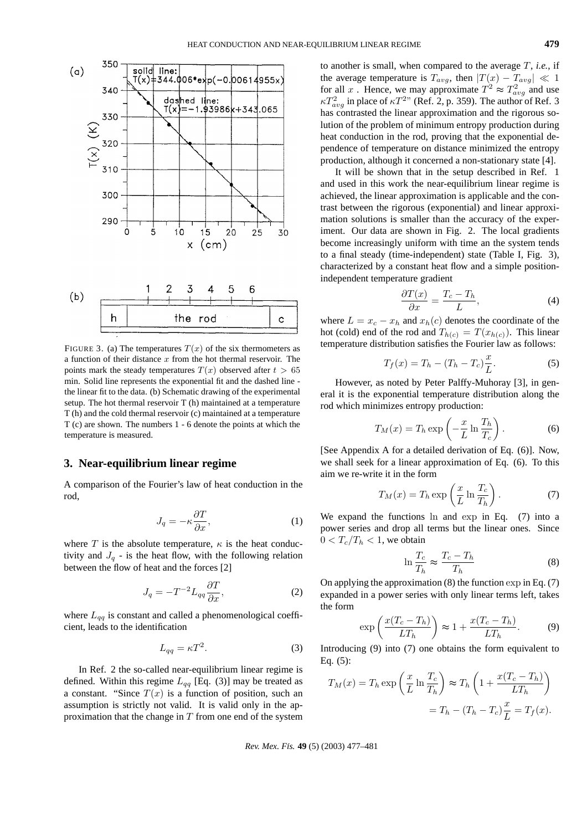

FIGURE 3. (a) The temperatures  $T(x)$  of the six thermometers as a function of their distance  $x$  from the hot thermal reservoir. The points mark the steady temperatures  $T(x)$  observed after  $t > 65$ min. Solid line represents the exponential fit and the dashed line the linear fit to the data. (b) Schematic drawing of the experimental setup. The hot thermal reservoir T (h) maintained at a temperature T (h) and the cold thermal reservoir (c) maintained at a temperature T (c) are shown. The numbers 1 - 6 denote the points at which the temperature is measured.

### **3. Near-equilibrium linear regime**

A comparison of the Fourier's law of heat conduction in the rod,

$$
J_q = -\kappa \frac{\partial T}{\partial x},\tag{1}
$$

where T is the absolute temperature,  $\kappa$  is the heat conductivity and  $J_q$  - is the heat flow, with the following relation between the flow of heat and the forces [2]

$$
J_q = -T^{-2} L_{qq} \frac{\partial T}{\partial x},\tag{2}
$$

where  $L_{qq}$  is constant and called a phenomenological coefficient, leads to the identification

$$
L_{qq} = \kappa T^2. \tag{3}
$$

In Ref. 2 the so-called near-equilibrium linear regime is defined. Within this regime  $L_{qq}$  [Eq. (3)] may be treated as a constant. "Since  $T(x)$  is a function of position, such an assumption is strictly not valid. It is valid only in the approximation that the change in  $T$  from one end of the system to another is small, when compared to the average T, *i.e.*, if the average temperature is  $T_{avg}$ , then  $|T(x) - T_{avg}| \ll 1$ for all x. Hence, we may approximate  $T^2 \approx T_{avg}^2$  and use  $\kappa T_{avg}^2$  in place of  $\kappa T^{2n}$  (Ref. 2, p. 359). The author of Ref. 3 has contrasted the linear approximation and the rigorous solution of the problem of minimum entropy production during heat conduction in the rod, proving that the exponential dependence of temperature on distance minimized the entropy production, although it concerned a non-stationary state [4].

It will be shown that in the setup described in Ref. 1 and used in this work the near-equilibrium linear regime is achieved, the linear approximation is applicable and the contrast between the rigorous (exponential) and linear approximation solutions is smaller than the accuracy of the experiment. Our data are shown in Fig. 2. The local gradients become increasingly uniform with time an the system tends to a final steady (time-independent) state (Table I, Fig. 3), characterized by a constant heat flow and a simple positionindependent temperature gradient

$$
\frac{\partial T(x)}{\partial x} = \frac{T_c - T_h}{L},\tag{4}
$$

where  $L = x_c - x_h$  and  $x_h(c)$  denotes the coordinate of the hot (cold) end of the rod and  $T_{h(c)} = T(x_{h(c)})$ . This linear temperature distribution satisfies the Fourier law as follows:

$$
T_f(x) = T_h - (T_h - T_c)\frac{x}{L}.
$$
 (5)

However, as noted by Peter Palffy-Muhoray [3], in general it is the exponential temperature distribution along the rod which minimizes entropy production:

$$
T_M(x) = T_h \exp\left(-\frac{x}{L} \ln \frac{T_h}{T_c}\right). \tag{6}
$$

[See Appendix A for a detailed derivation of Eq. (6)]. Now, we shall seek for a linear approximation of Eq. (6). To this aim we re-write it in the form  $\mathbf{r}$ 

$$
T_M(x) = T_h \exp\left(\frac{x}{L} \ln \frac{T_c}{T_h}\right). \tag{7}
$$

We expand the functions ln and exp in Eq. (7) into a power series and drop all terms but the linear ones. Since  $0 < T_c/T_h < 1$ , we obtain

$$
\ln \frac{T_c}{T_h} \approx \frac{T_c - T_h}{T_h} \tag{8}
$$

On applying the approximation (8) the function exp in Eq. (7) expanded in a power series with only linear terms left, takes the form  $\mathbf{r}$ 

$$
\exp\left(\frac{x(T_c - T_h)}{LT_h}\right) \approx 1 + \frac{x(T_c - T_h)}{LT_h}.\tag{9}
$$

Introducing (9) into (7) one obtains the form equivalent to Eq. (5):

$$
T_M(x) = T_h \exp\left(\frac{x}{L} \ln \frac{T_c}{T_h}\right) \approx T_h \left(1 + \frac{x(T_c - T_h)}{LT_h}\right)
$$

$$
= T_h - (T_h - T_c)\frac{x}{L} = T_f(x).
$$

*Rev. Mex. F´ıs.* **49** (5) (2003) 477–481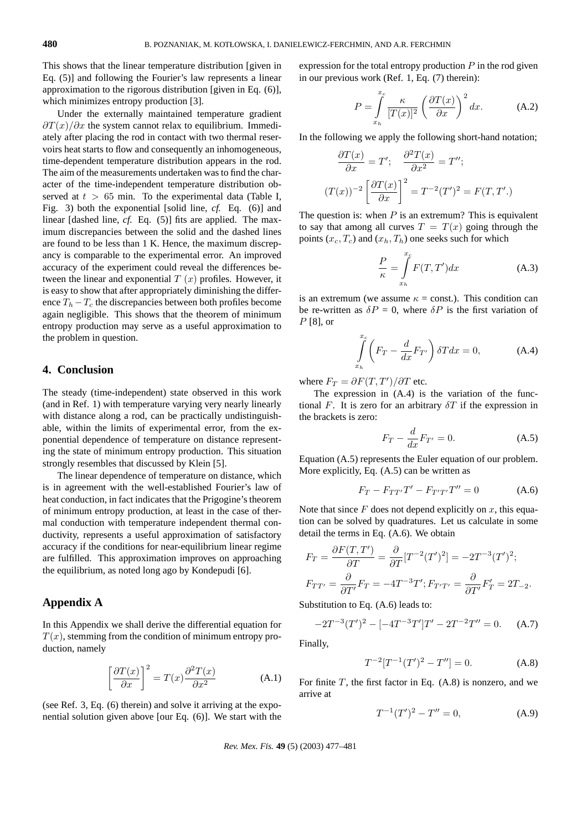This shows that the linear temperature distribution [given in Eq. (5)] and following the Fourier's law represents a linear approximation to the rigorous distribution [given in Eq. (6)], which minimizes entropy production [3].

Under the externally maintained temperature gradient  $\frac{\partial T(x)}{\partial x}$  the system cannot relax to equilibrium. Immediately after placing the rod in contact with two thermal reservoirs heat starts to flow and consequently an inhomogeneous, time-dependent temperature distribution appears in the rod. The aim of the measurements undertaken was to find the character of the time-independent temperature distribution observed at  $t > 65$  min. To the experimental data (Table I, Fig. 3) both the exponential [solid line, *cf.* Eq. (6)] and linear [dashed line, *cf.* Eq. (5)] fits are applied. The maximum discrepancies between the solid and the dashed lines are found to be less than 1 K. Hence, the maximum discrepancy is comparable to the experimental error. An improved accuracy of the experiment could reveal the differences between the linear and exponential  $T(x)$  profiles. However, it is easy to show that after appropriately diminishing the difference  $T_h - T_c$  the discrepancies between both profiles become again negligible. This shows that the theorem of minimum entropy production may serve as a useful approximation to the problem in question.

## **4. Conclusion**

The steady (time-independent) state observed in this work (and in Ref. 1) with temperature varying very nearly linearly with distance along a rod, can be practically undistinguishable, within the limits of experimental error, from the exponential dependence of temperature on distance representing the state of minimum entropy production. This situation strongly resembles that discussed by Klein [5].

The linear dependence of temperature on distance, which is in agreement with the well-established Fourier's law of heat conduction, in fact indicates that the Prigogine's theorem of minimum entropy production, at least in the case of thermal conduction with temperature independent thermal conductivity, represents a useful approximation of satisfactory accuracy if the conditions for near-equilibrium linear regime are fulfilled. This approximation improves on approaching the equilibrium, as noted long ago by Kondepudi [6].

### **Appendix A**

In this Appendix we shall derive the differential equation for  $T(x)$ , stemming from the condition of minimum entropy production, namely

$$
\left[\frac{\partial T(x)}{\partial x}\right]^2 = T(x)\frac{\partial^2 T(x)}{\partial x^2}
$$
 (A.1)

(see Ref. 3, Eq. (6) therein) and solve it arriving at the exponential solution given above [our Eq. (6)]. We start with the expression for the total entropy production  $P$  in the rod given in our previous work (Ref. 1, Eq. (7) therein):

$$
P = \int_{x_h}^{x_c} \frac{\kappa}{[T(x)]^2} \left(\frac{\partial T(x)}{\partial x}\right)^2 dx.
$$
 (A.2)

In the following we apply the following short-hand notation;

$$
\frac{\partial T(x)}{\partial x} = T'; \quad \frac{\partial^2 T(x)}{\partial x^2} = T'';
$$

$$
(T(x))^{-2} \left[ \frac{\partial T(x)}{\partial x} \right]^2 = T^{-2} (T')^2 = F(T, T').
$$

The question is: when  $P$  is an extremum? This is equivalent to say that among all curves  $T = T(x)$  going through the points  $(x_c, T_c)$  and  $(x_h, T_h)$  one seeks such for which

$$
\frac{P}{\kappa} = \int_{x_h}^{x_c} F(T, T') dx
$$
\n(A.3)

is an extremum (we assume  $\kappa$  = const.). This condition can be re-written as  $\delta P = 0$ , where  $\delta P$  is the first variation of  $P$  [8], or

$$
\int_{x_h}^{x_c} \left( F_T - \frac{d}{dx} F_{T'} \right) \delta T dx = 0,
$$
\n(A.4)

where  $F_T = \partial F(T, T') / \partial T$  etc.

The expression in (A.4) is the variation of the functional F. It is zero for an arbitrary  $\delta T$  if the expression in the brackets is zero:

$$
F_T - \frac{d}{dx} F_{T'} = 0.
$$
 (A.5)

Equation (A.5) represents the Euler equation of our problem. More explicitly, Eq. (A.5) can be written as

$$
F_T - F_{TT'}T' - F_{T'T'}T'' = 0
$$
 (A.6)

Note that since  $F$  does not depend explicitly on  $x$ , this equation can be solved by quadratures. Let us calculate in some detail the terms in Eq. (A.6). We obtain

$$
F_T = \frac{\partial F(T, T')}{\partial T} = \frac{\partial}{\partial T} [T^{-2} (T')^2] = -2T^{-3} (T')^2;
$$
  

$$
F_{TT'} = \frac{\partial}{\partial T'} F_T = -4T^{-3} T'; F_{T'T'} = \frac{\partial}{\partial T'} F'_T = 2T_{-2}.
$$

Substitution to Eq. (A.6) leads to:

$$
-2T^{-3}(T')^{2} - [-4T^{-3}T']T' - 2T^{-2}T'' = 0.
$$
 (A.7)

Finally,

$$
T^{-2}[T^{-1}(T')^2 - T''] = 0.
$$
 (A.8)

For finite  $T$ , the first factor in Eq.  $(A.8)$  is nonzero, and we arrive at

$$
T^{-1}(T')^2 - T'' = 0,
$$
 (A.9)